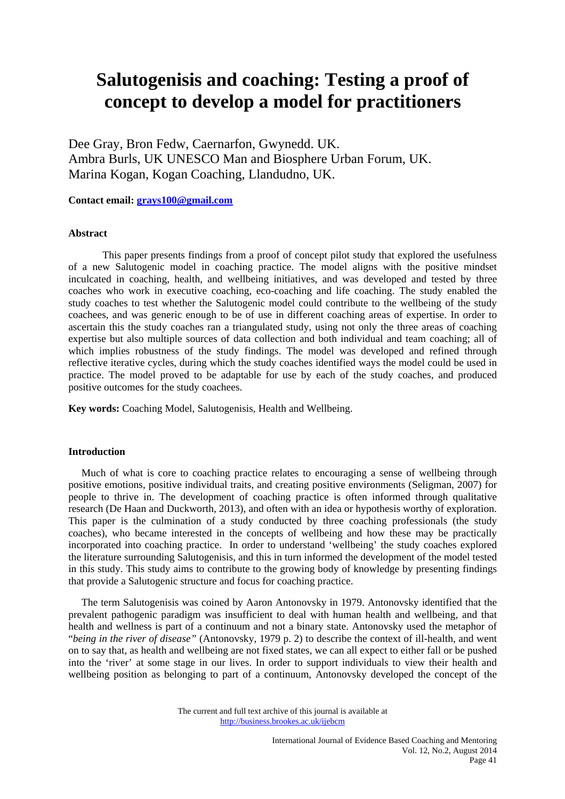# **Salutogenisis and coaching: Testing a proof of concept to develop a model for practitioners**

Dee Gray, Bron Fedw, Caernarfon, Gwynedd. UK. Ambra Burls, UK UNESCO Man and Biosphere Urban Forum, UK. Marina Kogan, Kogan Coaching, Llandudno, UK.

**Contact email: grays100@gmail.com**

# **Abstract**

 This paper presents findings from a proof of concept pilot study that explored the usefulness of a new Salutogenic model in coaching practice. The model aligns with the positive mindset inculcated in coaching, health, and wellbeing initiatives, and was developed and tested by three coaches who work in executive coaching, eco-coaching and life coaching. The study enabled the study coaches to test whether the Salutogenic model could contribute to the wellbeing of the study coachees, and was generic enough to be of use in different coaching areas of expertise. In order to ascertain this the study coaches ran a triangulated study, using not only the three areas of coaching expertise but also multiple sources of data collection and both individual and team coaching; all of which implies robustness of the study findings. The model was developed and refined through reflective iterative cycles, during which the study coaches identified ways the model could be used in practice. The model proved to be adaptable for use by each of the study coaches, and produced positive outcomes for the study coachees.

**Key words:** Coaching Model, Salutogenisis, Health and Wellbeing.

# **Introduction**

 Much of what is core to coaching practice relates to encouraging a sense of wellbeing through positive emotions, positive individual traits, and creating positive environments (Seligman, 2007) for people to thrive in. The development of coaching practice is often informed through qualitative research (De Haan and Duckworth, 2013), and often with an idea or hypothesis worthy of exploration. This paper is the culmination of a study conducted by three coaching professionals (the study coaches), who became interested in the concepts of wellbeing and how these may be practically incorporated into coaching practice. In order to understand 'wellbeing' the study coaches explored the literature surrounding Salutogenisis, and this in turn informed the development of the model tested in this study. This study aims to contribute to the growing body of knowledge by presenting findings that provide a Salutogenic structure and focus for coaching practice.

 The term Salutogenisis was coined by Aaron Antonovsky in 1979. Antonovsky identified that the prevalent pathogenic paradigm was insufficient to deal with human health and wellbeing, and that health and wellness is part of a continuum and not a binary state. Antonovsky used the metaphor of "*being in the river of disease"* (Antonovsky, 1979 p. 2) to describe the context of ill-health, and went on to say that, as health and wellbeing are not fixed states, we can all expect to either fall or be pushed into the 'river' at some stage in our lives. In order to support individuals to view their health and wellbeing position as belonging to part of a continuum, Antonovsky developed the concept of the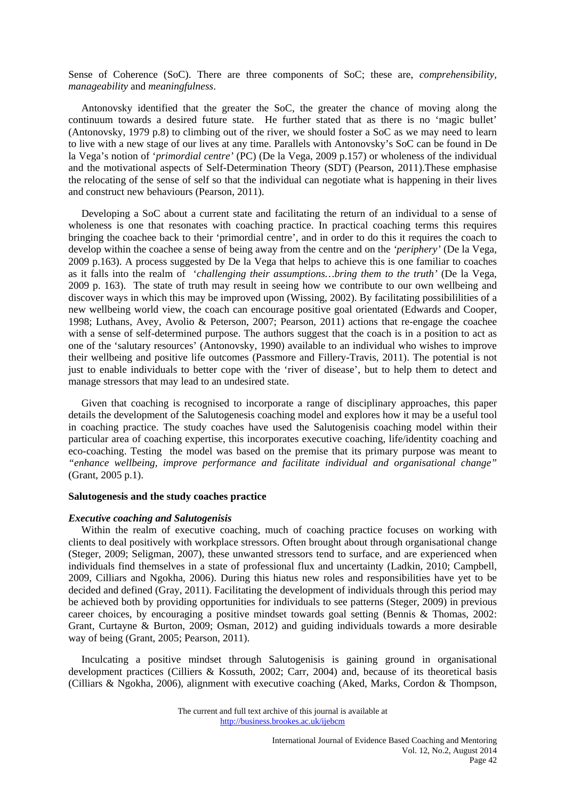Sense of Coherence (SoC). There are three components of SoC; these are, *comprehensibility, manageability* and *meaningfulness*.

 Antonovsky identified that the greater the SoC, the greater the chance of moving along the continuum towards a desired future state. He further stated that as there is no 'magic bullet' (Antonovsky, 1979 p.8) to climbing out of the river, we should foster a SoC as we may need to learn to live with a new stage of our lives at any time. Parallels with Antonovsky's SoC can be found in De la Vega's notion of '*primordial centre'* (PC) (De la Vega, 2009 p.157) or wholeness of the individual and the motivational aspects of Self-Determination Theory (SDT) (Pearson, 2011).These emphasise the relocating of the sense of self so that the individual can negotiate what is happening in their lives and construct new behaviours (Pearson, 2011).

 Developing a SoC about a current state and facilitating the return of an individual to a sense of wholeness is one that resonates with coaching practice. In practical coaching terms this requires bringing the coachee back to their 'primordial centre', and in order to do this it requires the coach to develop within the coachee a sense of being away from the centre and on the *'periphery'* (De la Vega, 2009 p.163). A process suggested by De la Vega that helps to achieve this is one familiar to coaches as it falls into the realm of '*challenging their assumptions…bring them to the truth'* (De la Vega, 2009 p. 163). The state of truth may result in seeing how we contribute to our own wellbeing and discover ways in which this may be improved upon (Wissing, 2002). By facilitating possibililities of a new wellbeing world view, the coach can encourage positive goal orientated (Edwards and Cooper, 1998; Luthans, Avey, Avolio & Peterson, 2007; Pearson, 2011) actions that re-engage the coachee with a sense of self-determined purpose. The authors suggest that the coach is in a position to act as one of the 'salutary resources' (Antonovsky, 1990) available to an individual who wishes to improve their wellbeing and positive life outcomes (Passmore and Fillery-Travis, 2011). The potential is not just to enable individuals to better cope with the 'river of disease', but to help them to detect and manage stressors that may lead to an undesired state.

 Given that coaching is recognised to incorporate a range of disciplinary approaches, this paper details the development of the Salutogenesis coaching model and explores how it may be a useful tool in coaching practice. The study coaches have used the Salutogenisis coaching model within their particular area of coaching expertise, this incorporates executive coaching, life/identity coaching and eco-coaching. Testing the model was based on the premise that its primary purpose was meant to *"enhance wellbeing, improve performance and facilitate individual and organisational change"* (Grant, 2005 p.1).

# **Salutogenesis and the study coaches practice**

#### *Executive coaching and Salutogenisis*

 Within the realm of executive coaching, much of coaching practice focuses on working with clients to deal positively with workplace stressors. Often brought about through organisational change (Steger, 2009; Seligman, 2007), these unwanted stressors tend to surface, and are experienced when individuals find themselves in a state of professional flux and uncertainty (Ladkin, 2010; Campbell, 2009, Cilliars and Ngokha, 2006). During this hiatus new roles and responsibilities have yet to be decided and defined (Gray, 2011). Facilitating the development of individuals through this period may be achieved both by providing opportunities for individuals to see patterns (Steger, 2009) in previous career choices, by encouraging a positive mindset towards goal setting (Bennis & Thomas, 2002: Grant, Curtayne & Burton, 2009; Osman, 2012) and guiding individuals towards a more desirable way of being (Grant, 2005; Pearson, 2011).

 Inculcating a positive mindset through Salutogenisis is gaining ground in organisational development practices (Cilliers & Kossuth, 2002; Carr, 2004) and, because of its theoretical basis (Cilliars & Ngokha, 2006), alignment with executive coaching (Aked, Marks, Cordon & Thompson,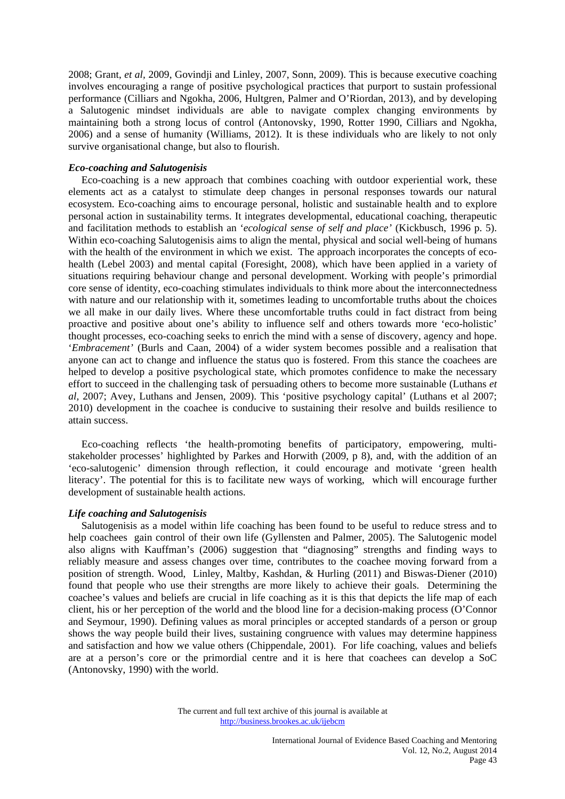2008; Grant, *et al,* 2009, Govindji and Linley, 2007, Sonn, 2009). This is because executive coaching involves encouraging a range of positive psychological practices that purport to sustain professional performance (Cilliars and Ngokha, 2006, Hultgren, Palmer and O'Riordan, 2013), and by developing a Salutogenic mindset individuals are able to navigate complex changing environments by maintaining both a strong locus of control (Antonovsky, 1990, Rotter 1990, Cilliars and Ngokha, 2006) and a sense of humanity (Williams, 2012). It is these individuals who are likely to not only survive organisational change, but also to flourish.

# *Eco-coaching and Salutogenisis*

 Eco-coaching is a new approach that combines coaching with outdoor experiential work, these elements act as a catalyst to stimulate deep changes in personal responses towards our natural ecosystem. Eco-coaching aims to encourage personal, holistic and sustainable health and to explore personal action in sustainability terms. It integrates developmental, educational coaching, therapeutic and facilitation methods to establish an '*ecological sense of self and place'* (Kickbusch, 1996 p. 5). Within eco-coaching Salutogenisis aims to align the mental, physical and social well-being of humans with the health of the environment in which we exist. The approach incorporates the concepts of ecohealth (Lebel 2003) and mental capital (Foresight, 2008), which have been applied in a variety of situations requiring behaviour change and personal development. Working with people's primordial core sense of identity, eco-coaching stimulates individuals to think more about the interconnectedness with nature and our relationship with it, sometimes leading to uncomfortable truths about the choices we all make in our daily lives. Where these uncomfortable truths could in fact distract from being proactive and positive about one's ability to influence self and others towards more 'eco-holistic' thought processes, eco-coaching seeks to enrich the mind with a sense of discovery, agency and hope. '*Embracement'* (Burls and Caan, 2004) of a wider system becomes possible and a realisation that anyone can act to change and influence the status quo is fostered. From this stance the coachees are helped to develop a positive psychological state, which promotes confidence to make the necessary effort to succeed in the challenging task of persuading others to become more sustainable (Luthans *et al,* 2007; Avey, Luthans and Jensen, 2009). This 'positive psychology capital' (Luthans et al 2007; 2010) development in the coachee is conducive to sustaining their resolve and builds resilience to attain success.

 Eco-coaching reflects 'the health-promoting benefits of participatory, empowering, multistakeholder processes' highlighted by Parkes and Horwith (2009, p 8), and, with the addition of an 'eco-salutogenic' dimension through reflection, it could encourage and motivate 'green health literacy'. The potential for this is to facilitate new ways of working, which will encourage further development of sustainable health actions.

# *Life coaching and Salutogenisis*

 Salutogenisis as a model within life coaching has been found to be useful to reduce stress and to help coachees gain control of their own life (Gyllensten and Palmer, 2005). The Salutogenic model also aligns with Kauffman's (2006) suggestion that "diagnosing" strengths and finding ways to reliably measure and assess changes over time, contributes to the coachee moving forward from a position of strength. Wood, Linley, Maltby, Kashdan, & Hurling (2011) and Biswas-Diener (2010) found that people who use their strengths are more likely to achieve their goals. Determining the coachee's values and beliefs are crucial in life coaching as it is this that depicts the life map of each client, his or her perception of the world and the blood line for a decision-making process (O'Connor and Seymour, 1990). Defining values as moral principles or accepted standards of a person or group shows the way people build their lives, sustaining congruence with values may determine happiness and satisfaction and how we value others (Chippendale, 2001). For life coaching, values and beliefs are at a person's core or the primordial centre and it is here that coachees can develop a SoC (Antonovsky, 1990) with the world.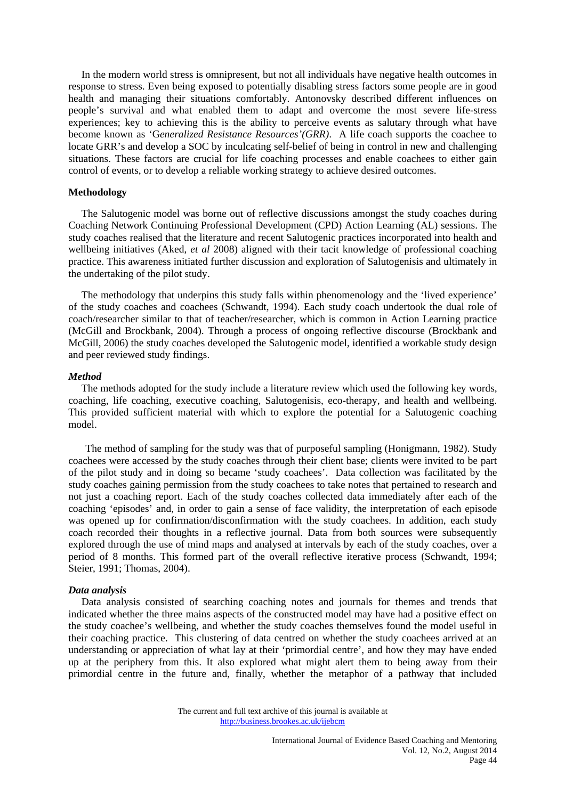In the modern world stress is omnipresent, but not all individuals have negative health outcomes in response to stress. Even being exposed to potentially disabling stress factors some people are in good health and managing their situations comfortably. Antonovsky described different influences on people's survival and what enabled them to adapt and overcome the most severe life-stress experiences; key to achieving this is the ability to perceive events as salutary through what have become known as 'G*eneralized Resistance Resources'(GRR)*. A life coach supports the coachee to locate GRR's and develop a SOC by inculcating self-belief of being in control in new and challenging situations. These factors are crucial for life coaching processes and enable coachees to either gain control of events, or to develop a reliable working strategy to achieve desired outcomes.

# **Methodology**

 The Salutogenic model was borne out of reflective discussions amongst the study coaches during Coaching Network Continuing Professional Development (CPD) Action Learning (AL) sessions. The study coaches realised that the literature and recent Salutogenic practices incorporated into health and wellbeing initiatives (Aked, *et al* 2008) aligned with their tacit knowledge of professional coaching practice. This awareness initiated further discussion and exploration of Salutogenisis and ultimately in the undertaking of the pilot study.

 The methodology that underpins this study falls within phenomenology and the 'lived experience' of the study coaches and coachees (Schwandt, 1994). Each study coach undertook the dual role of coach/researcher similar to that of teacher/researcher, which is common in Action Learning practice (McGill and Brockbank, 2004). Through a process of ongoing reflective discourse (Brockbank and McGill, 2006) the study coaches developed the Salutogenic model, identified a workable study design and peer reviewed study findings.

#### *Method*

 The methods adopted for the study include a literature review which used the following key words, coaching, life coaching, executive coaching, Salutogenisis, eco-therapy, and health and wellbeing. This provided sufficient material with which to explore the potential for a Salutogenic coaching model.

 The method of sampling for the study was that of purposeful sampling (Honigmann, 1982). Study coachees were accessed by the study coaches through their client base; clients were invited to be part of the pilot study and in doing so became 'study coachees'. Data collection was facilitated by the study coaches gaining permission from the study coachees to take notes that pertained to research and not just a coaching report. Each of the study coaches collected data immediately after each of the coaching 'episodes' and, in order to gain a sense of face validity, the interpretation of each episode was opened up for confirmation/disconfirmation with the study coachees. In addition, each study coach recorded their thoughts in a reflective journal. Data from both sources were subsequently explored through the use of mind maps and analysed at intervals by each of the study coaches, over a period of 8 months. This formed part of the overall reflective iterative process (Schwandt, 1994; Steier, 1991; Thomas, 2004).

#### *Data analysis*

 Data analysis consisted of searching coaching notes and journals for themes and trends that indicated whether the three mains aspects of the constructed model may have had a positive effect on the study coachee's wellbeing, and whether the study coaches themselves found the model useful in their coaching practice. This clustering of data centred on whether the study coachees arrived at an understanding or appreciation of what lay at their 'primordial centre', and how they may have ended up at the periphery from this. It also explored what might alert them to being away from their primordial centre in the future and, finally, whether the metaphor of a pathway that included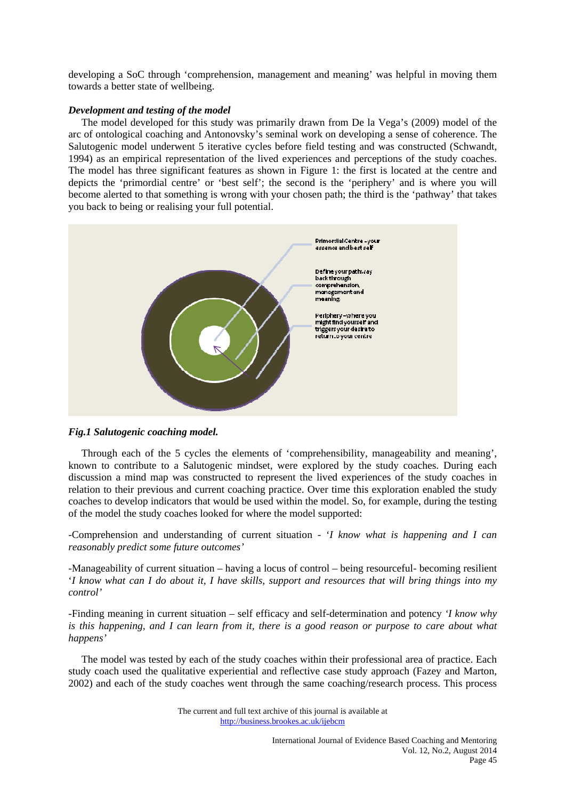developing a SoC through 'comprehension, management and meaning' was helpful in moving them towards a better state of wellbeing.

## *Development and testing of the model*

 The model developed for this study was primarily drawn from De la Vega's (2009) model of the arc of ontological coaching and Antonovsky's seminal work on developing a sense of coherence. The Salutogenic model underwent 5 iterative cycles before field testing and was constructed (Schwandt, 1994) as an empirical representation of the lived experiences and perceptions of the study coaches. The model has three significant features as shown in Figure 1: the first is located at the centre and depicts the 'primordial centre' or 'best self'; the second is the 'periphery' and is where you will become alerted to that something is wrong with your chosen path; the third is the 'pathway' that takes you back to being or realising your full potential.



# *Fig.1 Salutogenic coaching model.*

 Through each of the 5 cycles the elements of 'comprehensibility, manageability and meaning', known to contribute to a Salutogenic mindset, were explored by the study coaches. During each discussion a mind map was constructed to represent the lived experiences of the study coaches in relation to their previous and current coaching practice. Over time this exploration enabled the study coaches to develop indicators that would be used within the model. So, for example, during the testing of the model the study coaches looked for where the model supported:

-Comprehension and understanding of current situation - '*I know what is happening and I can reasonably predict some future outcomes'* 

-Manageability of current situation – having a locus of control – being resourceful- becoming resilient '*I know what can I do about it, I have skills, support and resources that will bring things into my control'*

-Finding meaning in current situation – self efficacy and self-determination and potency *'I know why is this happening, and I can learn from it, there is a good reason or purpose to care about what happens'* 

 The model was tested by each of the study coaches within their professional area of practice. Each study coach used the qualitative experiential and reflective case study approach (Fazey and Marton, 2002) and each of the study coaches went through the same coaching/research process. This process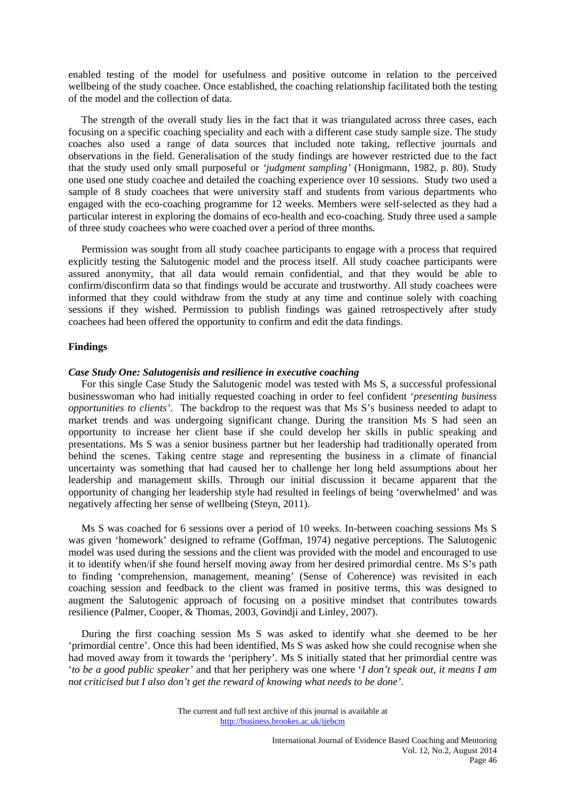enabled testing of the model for usefulness and positive outcome in relation to the perceived wellbeing of the study coachee. Once established, the coaching relationship facilitated both the testing of the model and the collection of data.

 The strength of the overall study lies in the fact that it was triangulated across three cases, each focusing on a specific coaching speciality and each with a different case study sample size. The study coaches also used a range of data sources that included note taking, reflective journals and observations in the field. Generalisation of the study findings are however restricted due to the fact that the study used only small purposeful or *'judgment sampling'* (Honigmann, 1982, p. 80). Study one used one study coachee and detailed the coaching experience over 10 sessions. Study two used a sample of 8 study coachees that were university staff and students from various departments who engaged with the eco-coaching programme for 12 weeks. Members were self-selected as they had a particular interest in exploring the domains of eco-health and eco-coaching. Study three used a sample of three study coachees who were coached over a period of three months.

 Permission was sought from all study coachee participants to engage with a process that required explicitly testing the Salutogenic model and the process itself. All study coachee participants were assured anonymity, that all data would remain confidential, and that they would be able to confirm/disconfirm data so that findings would be accurate and trustworthy. All study coachees were informed that they could withdraw from the study at any time and continue solely with coaching sessions if they wished. Permission to publish findings was gained retrospectively after study coachees had been offered the opportunity to confirm and edit the data findings.

## **Findings**

#### *Case Study One: Salutogenisis and resilience in executive coaching*

 For this single Case Study the Salutogenic model was tested with Ms S, a successful professional businesswoman who had initially requested coaching in order to feel confident '*presenting business opportunities to clients'*. The backdrop to the request was that Ms S's business needed to adapt to market trends and was undergoing significant change. During the transition Ms S had seen an opportunity to increase her client base if she could develop her skills in public speaking and presentations. Ms S was a senior business partner but her leadership had traditionally operated from behind the scenes. Taking centre stage and representing the business in a climate of financial uncertainty was something that had caused her to challenge her long held assumptions about her leadership and management skills. Through our initial discussion it became apparent that the opportunity of changing her leadership style had resulted in feelings of being 'overwhelmed' and was negatively affecting her sense of wellbeing (Steyn, 2011).

 Ms S was coached for 6 sessions over a period of 10 weeks. In-between coaching sessions Ms S was given 'homework' designed to reframe (Goffman, 1974) negative perceptions. The Salutogenic model was used during the sessions and the client was provided with the model and encouraged to use it to identify when/if she found herself moving away from her desired primordial centre. Ms S's path to finding 'comprehension, management, meaning' (Sense of Coherence) was revisited in each coaching session and feedback to the client was framed in positive terms, this was designed to augment the Salutogenic approach of focusing on a positive mindset that contributes towards resilience (Palmer, Cooper, & Thomas*,* 2003, Govindji and Linley, 2007).

 During the first coaching session Ms S was asked to identify what she deemed to be her 'primordial centre'. Once this had been identified, Ms S was asked how she could recognise when she had moved away from it towards the 'periphery'. Ms S initially stated that her primordial centre was '*to be a good public speaker'* and that her periphery was one where '*I don't speak out, it means I am not criticised but I also don't get the reward of knowing what needs to be done'*.

The current and full text archive of this journal is available at http://business.brookes.ac.uk/ijebcm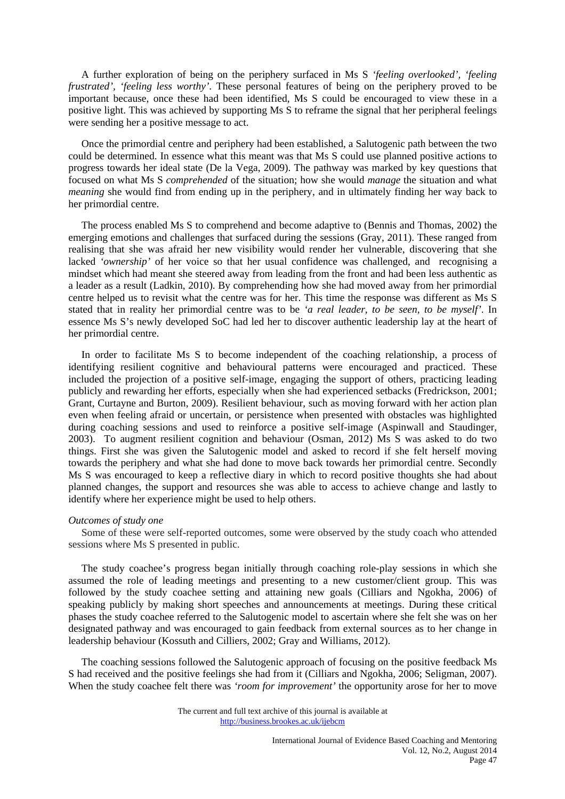A further exploration of being on the periphery surfaced in Ms S *'feeling overlooked', 'feeling frustrated', 'feeling less worthy'*. These personal features of being on the periphery proved to be important because, once these had been identified, Ms S could be encouraged to view these in a positive light. This was achieved by supporting Ms S to reframe the signal that her peripheral feelings were sending her a positive message to act.

 Once the primordial centre and periphery had been established, a Salutogenic path between the two could be determined. In essence what this meant was that Ms S could use planned positive actions to progress towards her ideal state (De la Vega, 2009). The pathway was marked by key questions that focused on what Ms S *comprehended* of the situation; how she would *manage* the situation and what *meaning* she would find from ending up in the periphery, and in ultimately finding her way back to her primordial centre.

 The process enabled Ms S to comprehend and become adaptive to (Bennis and Thomas, 2002) the emerging emotions and challenges that surfaced during the sessions (Gray, 2011). These ranged from realising that she was afraid her new visibility would render her vulnerable, discovering that she lacked *'ownership'* of her voice so that her usual confidence was challenged, and recognising a mindset which had meant she steered away from leading from the front and had been less authentic as a leader as a result (Ladkin, 2010). By comprehending how she had moved away from her primordial centre helped us to revisit what the centre was for her. This time the response was different as Ms S stated that in reality her primordial centre was to be *'a real leader, to be seen, to be myself'*. In essence Ms S's newly developed SoC had led her to discover authentic leadership lay at the heart of her primordial centre.

 In order to facilitate Ms S to become independent of the coaching relationship, a process of identifying resilient cognitive and behavioural patterns were encouraged and practiced. These included the projection of a positive self-image, engaging the support of others, practicing leading publicly and rewarding her efforts, especially when she had experienced setbacks (Fredrickson, 2001; Grant, Curtayne and Burton, 2009). Resilient behaviour, such as moving forward with her action plan even when feeling afraid or uncertain, or persistence when presented with obstacles was highlighted during coaching sessions and used to reinforce a positive self-image (Aspinwall and Staudinger, 2003). To augment resilient cognition and behaviour (Osman, 2012) Ms S was asked to do two things. First she was given the Salutogenic model and asked to record if she felt herself moving towards the periphery and what she had done to move back towards her primordial centre. Secondly Ms S was encouraged to keep a reflective diary in which to record positive thoughts she had about planned changes, the support and resources she was able to access to achieve change and lastly to identify where her experience might be used to help others.

#### *Outcomes of study one*

 Some of these were self-reported outcomes, some were observed by the study coach who attended sessions where Ms S presented in public.

 The study coachee's progress began initially through coaching role-play sessions in which she assumed the role of leading meetings and presenting to a new customer/client group. This was followed by the study coachee setting and attaining new goals (Cilliars and Ngokha, 2006) of speaking publicly by making short speeches and announcements at meetings. During these critical phases the study coachee referred to the Salutogenic model to ascertain where she felt she was on her designated pathway and was encouraged to gain feedback from external sources as to her change in leadership behaviour (Kossuth and Cilliers, 2002; Gray and Williams, 2012).

 The coaching sessions followed the Salutogenic approach of focusing on the positive feedback Ms S had received and the positive feelings she had from it (Cilliars and Ngokha, 2006; Seligman, 2007). When the study coachee felt there was *'room for improvement'* the opportunity arose for her to move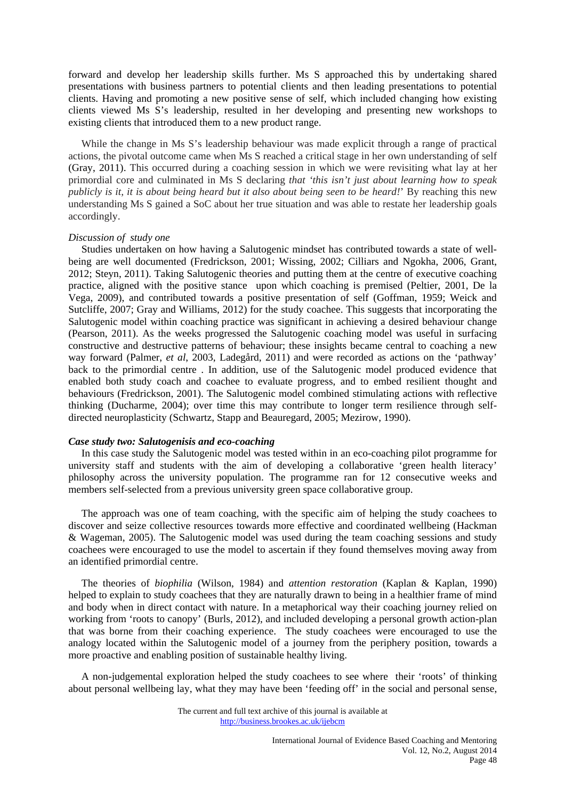forward and develop her leadership skills further. Ms S approached this by undertaking shared presentations with business partners to potential clients and then leading presentations to potential clients. Having and promoting a new positive sense of self, which included changing how existing clients viewed Ms S's leadership, resulted in her developing and presenting new workshops to existing clients that introduced them to a new product range.

While the change in Ms S's leadership behaviour was made explicit through a range of practical actions, the pivotal outcome came when Ms S reached a critical stage in her own understanding of self (Gray, 2011). This occurred during a coaching session in which we were revisiting what lay at her primordial core and culminated in Ms S declaring *that 'this isn't just about learning how to speak publicly is it, it is about being heard but it also about being seen to be heard!*' By reaching this new understanding Ms S gained a SoC about her true situation and was able to restate her leadership goals accordingly.

#### *Discussion of study one*

 Studies undertaken on how having a Salutogenic mindset has contributed towards a state of wellbeing are well documented (Fredrickson, 2001; Wissing, 2002; Cilliars and Ngokha, 2006, Grant, 2012; Steyn, 2011). Taking Salutogenic theories and putting them at the centre of executive coaching practice, aligned with the positive stance upon which coaching is premised (Peltier, 2001, De la Vega, 2009), and contributed towards a positive presentation of self (Goffman, 1959; Weick and Sutcliffe, 2007; Gray and Williams, 2012) for the study coachee. This suggests that incorporating the Salutogenic model within coaching practice was significant in achieving a desired behaviour change (Pearson, 2011). As the weeks progressed the Salutogenic coaching model was useful in surfacing constructive and destructive patterns of behaviour; these insights became central to coaching a new way forward (Palmer, *et al*, 2003, Ladegård, 2011) and were recorded as actions on the 'pathway' back to the primordial centre . In addition, use of the Salutogenic model produced evidence that enabled both study coach and coachee to evaluate progress, and to embed resilient thought and behaviours (Fredrickson, 2001). The Salutogenic model combined stimulating actions with reflective thinking (Ducharme, 2004); over time this may contribute to longer term resilience through selfdirected neuroplasticity (Schwartz, Stapp and Beauregard, 2005; Mezirow, 1990).

# *Case study two: Salutogenisis and eco-coaching*

 In this case study the Salutogenic model was tested within in an eco-coaching pilot programme for university staff and students with the aim of developing a collaborative 'green health literacy' philosophy across the university population. The programme ran for 12 consecutive weeks and members self-selected from a previous university green space collaborative group.

 The approach was one of team coaching, with the specific aim of helping the study coachees to discover and seize collective resources towards more effective and coordinated wellbeing (Hackman & Wageman, 2005). The Salutogenic model was used during the team coaching sessions and study coachees were encouraged to use the model to ascertain if they found themselves moving away from an identified primordial centre.

 The theories of *biophilia* (Wilson, 1984) and *attention restoration* (Kaplan & Kaplan, 1990) helped to explain to study coachees that they are naturally drawn to being in a healthier frame of mind and body when in direct contact with nature. In a metaphorical way their coaching journey relied on working from 'roots to canopy' (Burls, 2012), and included developing a personal growth action-plan that was borne from their coaching experience. The study coachees were encouraged to use the analogy located within the Salutogenic model of a journey from the periphery position, towards a more proactive and enabling position of sustainable healthy living.

 A non-judgemental exploration helped the study coachees to see where their 'roots' of thinking about personal wellbeing lay, what they may have been 'feeding off' in the social and personal sense,

The current and full text archive of this journal is available at http://business.brookes.ac.uk/ijebcm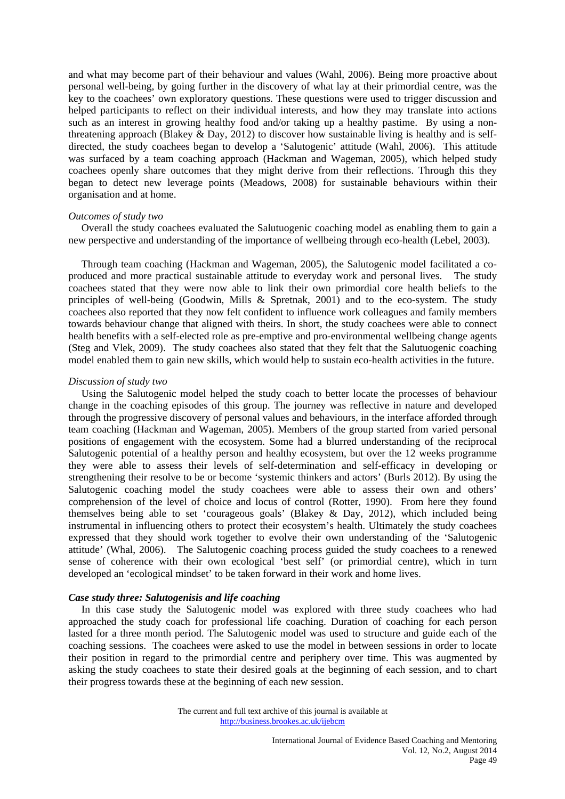and what may become part of their behaviour and values (Wahl, 2006). Being more proactive about personal well-being, by going further in the discovery of what lay at their primordial centre, was the key to the coachees' own exploratory questions. These questions were used to trigger discussion and helped participants to reflect on their individual interests, and how they may translate into actions such as an interest in growing healthy food and/or taking up a healthy pastime. By using a nonthreatening approach (Blakey & Day, 2012) to discover how sustainable living is healthy and is selfdirected, the study coachees began to develop a 'Salutogenic' attitude (Wahl, 2006). This attitude was surfaced by a team coaching approach (Hackman and Wageman, 2005), which helped study coachees openly share outcomes that they might derive from their reflections. Through this they began to detect new leverage points (Meadows, 2008) for sustainable behaviours within their organisation and at home.

## *Outcomes of study two*

 Overall the study coachees evaluated the Salutuogenic coaching model as enabling them to gain a new perspective and understanding of the importance of wellbeing through eco-health (Lebel, 2003).

 Through team coaching (Hackman and Wageman, 2005), the Salutogenic model facilitated a coproduced and more practical sustainable attitude to everyday work and personal lives. The study coachees stated that they were now able to link their own primordial core health beliefs to the principles of well-being (Goodwin, Mills & Spretnak, 2001) and to the eco-system. The study coachees also reported that they now felt confident to influence work colleagues and family members towards behaviour change that aligned with theirs. In short, the study coachees were able to connect health benefits with a self-elected role as pre-emptive and pro-environmental wellbeing change agents (Steg and Vlek, 2009). The study coachees also stated that they felt that the Salutuogenic coaching model enabled them to gain new skills, which would help to sustain eco-health activities in the future.

#### *Discussion of study two*

 Using the Salutogenic model helped the study coach to better locate the processes of behaviour change in the coaching episodes of this group. The journey was reflective in nature and developed through the progressive discovery of personal values and behaviours, in the interface afforded through team coaching (Hackman and Wageman, 2005). Members of the group started from varied personal positions of engagement with the ecosystem. Some had a blurred understanding of the reciprocal Salutogenic potential of a healthy person and healthy ecosystem, but over the 12 weeks programme they were able to assess their levels of self-determination and self-efficacy in developing or strengthening their resolve to be or become 'systemic thinkers and actors' (Burls 2012). By using the Salutogenic coaching model the study coachees were able to assess their own and others' comprehension of the level of choice and locus of control (Rotter, 1990). From here they found themselves being able to set 'courageous goals' (Blakey & Day, 2012), which included being instrumental in influencing others to protect their ecosystem's health. Ultimately the study coachees expressed that they should work together to evolve their own understanding of the 'Salutogenic attitude' (Whal, 2006). The Salutogenic coaching process guided the study coachees to a renewed sense of coherence with their own ecological 'best self' (or primordial centre), which in turn developed an 'ecological mindset' to be taken forward in their work and home lives.

# *Case study three: Salutogenisis and life coaching*

 In this case study the Salutogenic model was explored with three study coachees who had approached the study coach for professional life coaching. Duration of coaching for each person lasted for a three month period. The Salutogenic model was used to structure and guide each of the coaching sessions. The coachees were asked to use the model in between sessions in order to locate their position in regard to the primordial centre and periphery over time. This was augmented by asking the study coachees to state their desired goals at the beginning of each session, and to chart their progress towards these at the beginning of each new session.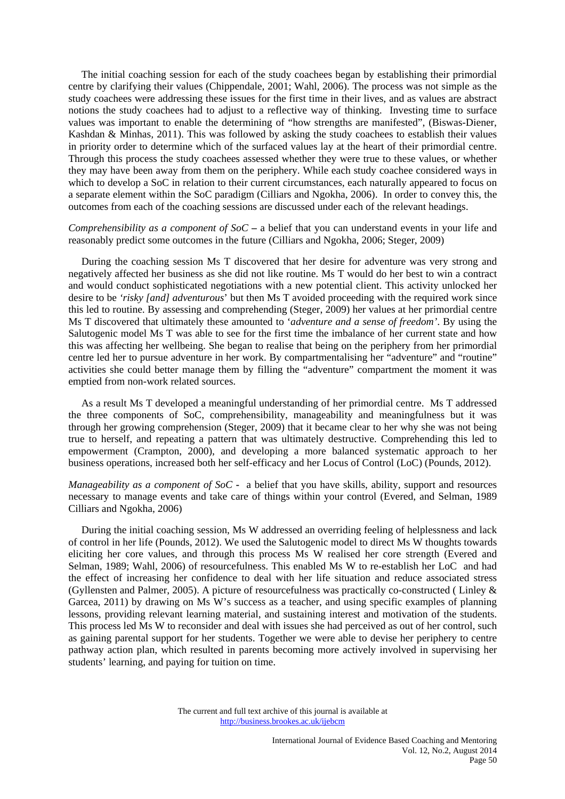The initial coaching session for each of the study coachees began by establishing their primordial centre by clarifying their values (Chippendale, 2001; Wahl, 2006). The process was not simple as the study coachees were addressing these issues for the first time in their lives, and as values are abstract notions the study coachees had to adjust to a reflective way of thinking. Investing time to surface values was important to enable the determining of "how strengths are manifested", (Biswas-Diener, Kashdan & Minhas*,* 2011). This was followed by asking the study coachees to establish their values in priority order to determine which of the surfaced values lay at the heart of their primordial centre. Through this process the study coachees assessed whether they were true to these values, or whether they may have been away from them on the periphery. While each study coachee considered ways in which to develop a SoC in relation to their current circumstances, each naturally appeared to focus on a separate element within the SoC paradigm (Cilliars and Ngokha, 2006). In order to convey this, the outcomes from each of the coaching sessions are discussed under each of the relevant headings.

*Comprehensibility as a component of SoC* – a belief that you can understand events in your life and reasonably predict some outcomes in the future (Cilliars and Ngokha, 2006; Steger, 2009)

 During the coaching session Ms T discovered that her desire for adventure was very strong and negatively affected her business as she did not like routine. Ms T would do her best to win a contract and would conduct sophisticated negotiations with a new potential client. This activity unlocked her desire to be *'risky [and] adventurous*' but then Ms T avoided proceeding with the required work since this led to routine. By assessing and comprehending (Steger, 2009) her values at her primordial centre Ms T discovered that ultimately these amounted to '*adventure and a sense of freedom'*. By using the Salutogenic model Ms T was able to see for the first time the imbalance of her current state and how this was affecting her wellbeing. She began to realise that being on the periphery from her primordial centre led her to pursue adventure in her work. By compartmentalising her "adventure" and "routine" activities she could better manage them by filling the "adventure" compartment the moment it was emptied from non-work related sources.

 As a result Ms T developed a meaningful understanding of her primordial centre. Ms T addressed the three components of SoC, comprehensibility, manageability and meaningfulness but it was through her growing comprehension (Steger, 2009) that it became clear to her why she was not being true to herself, and repeating a pattern that was ultimately destructive. Comprehending this led to empowerment (Crampton, 2000), and developing a more balanced systematic approach to her business operations, increased both her self-efficacy and her Locus of Control (LoC) (Pounds, 2012).

*Manageability as a component of SoC* **-** a belief that you have skills, ability, support and resources necessary to manage events and take care of things within your control (Evered, and Selman, 1989 Cilliars and Ngokha, 2006)

 During the initial coaching session, Ms W addressed an overriding feeling of helplessness and lack of control in her life (Pounds, 2012). We used the Salutogenic model to direct Ms W thoughts towards eliciting her core values, and through this process Ms W realised her core strength (Evered and Selman, 1989; Wahl, 2006) of resourcefulness. This enabled Ms W to re-establish her LoC and had the effect of increasing her confidence to deal with her life situation and reduce associated stress (Gyllensten and Palmer, 2005). A picture of resourcefulness was practically co-constructed ( Linley & Garcea, 2011) by drawing on Ms W's success as a teacher, and using specific examples of planning lessons, providing relevant learning material, and sustaining interest and motivation of the students. This process led Ms W to reconsider and deal with issues she had perceived as out of her control, such as gaining parental support for her students. Together we were able to devise her periphery to centre pathway action plan, which resulted in parents becoming more actively involved in supervising her students' learning, and paying for tuition on time.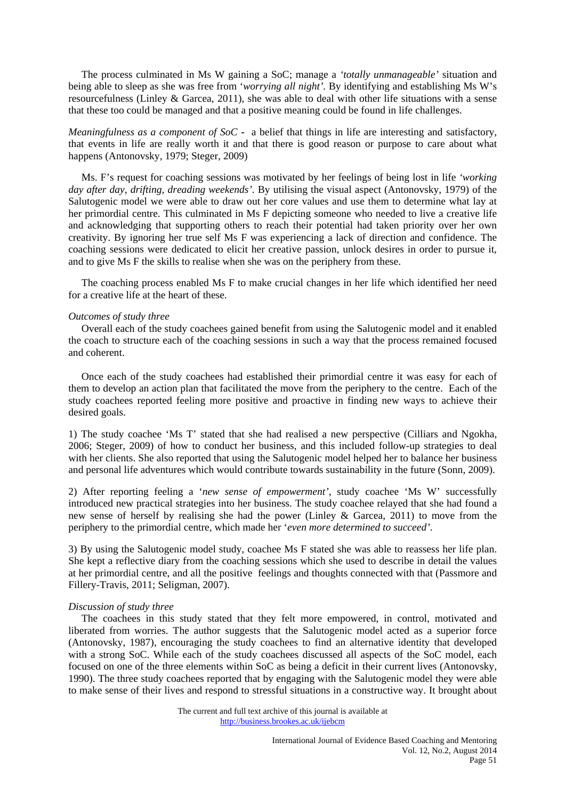The process culminated in Ms W gaining a SoC; manage a *'totally unmanageable'* situation and being able to sleep as she was free from '*worrying all night'.* By identifying and establishing Ms W's resourcefulness (Linley & Garcea, 2011), she was able to deal with other life situations with a sense that these too could be managed and that a positive meaning could be found in life challenges.

*Meaningfulness as a component of SoC* **-** a belief that things in life are interesting and satisfactory, that events in life are really worth it and that there is good reason or purpose to care about what happens (Antonovsky, 1979; Steger, 2009)

 Ms. F's request for coaching sessions was motivated by her feelings of being lost in life *'working day after day, drifting, dreading weekends'*. By utilising the visual aspect (Antonovsky, 1979) of the Salutogenic model we were able to draw out her core values and use them to determine what lay at her primordial centre. This culminated in Ms F depicting someone who needed to live a creative life and acknowledging that supporting others to reach their potential had taken priority over her own creativity. By ignoring her true self Ms F was experiencing a lack of direction and confidence. The coaching sessions were dedicated to elicit her creative passion, unlock desires in order to pursue it, and to give Ms F the skills to realise when she was on the periphery from these.

 The coaching process enabled Ms F to make crucial changes in her life which identified her need for a creative life at the heart of these.

#### *Outcomes of study three*

 Overall each of the study coachees gained benefit from using the Salutogenic model and it enabled the coach to structure each of the coaching sessions in such a way that the process remained focused and coherent.

 Once each of the study coachees had established their primordial centre it was easy for each of them to develop an action plan that facilitated the move from the periphery to the centre. Each of the study coachees reported feeling more positive and proactive in finding new ways to achieve their desired goals.

1) The study coachee 'Ms T' stated that she had realised a new perspective (Cilliars and Ngokha, 2006; Steger, 2009) of how to conduct her business, and this included follow-up strategies to deal with her clients. She also reported that using the Salutogenic model helped her to balance her business and personal life adventures which would contribute towards sustainability in the future (Sonn, 2009).

2) After reporting feeling a '*new sense of empowerment'*, study coachee 'Ms W' successfully introduced new practical strategies into her business. The study coachee relayed that she had found a new sense of herself by realising she had the power (Linley & Garcea, 2011) to move from the periphery to the primordial centre, which made her '*even more determined to succeed'*.

3) By using the Salutogenic model study, coachee Ms F stated she was able to reassess her life plan. She kept a reflective diary from the coaching sessions which she used to describe in detail the values at her primordial centre, and all the positive feelings and thoughts connected with that (Passmore and Fillery-Travis, 2011; Seligman, 2007).

## *Discussion of study three*

 The coachees in this study stated that they felt more empowered, in control, motivated and liberated from worries. The author suggests that the Salutogenic model acted as a superior force (Antonovsky, 1987), encouraging the study coachees to find an alternative identity that developed with a strong SoC. While each of the study coachees discussed all aspects of the SoC model, each focused on one of the three elements within SoC as being a deficit in their current lives (Antonovsky, 1990). The three study coachees reported that by engaging with the Salutogenic model they were able to make sense of their lives and respond to stressful situations in a constructive way. It brought about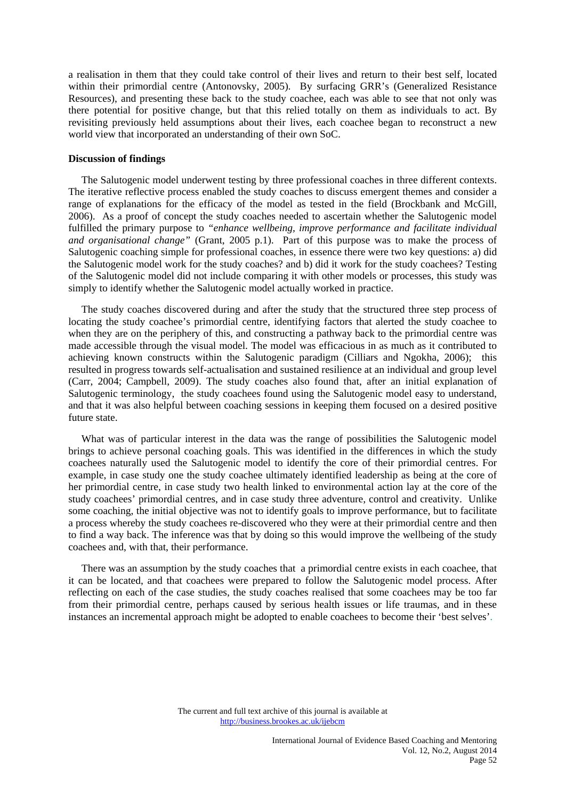a realisation in them that they could take control of their lives and return to their best self, located within their primordial centre (Antonovsky, 2005). By surfacing GRR's (Generalized Resistance Resources), and presenting these back to the study coachee, each was able to see that not only was there potential for positive change, but that this relied totally on them as individuals to act. By revisiting previously held assumptions about their lives, each coachee began to reconstruct a new world view that incorporated an understanding of their own SoC.

#### **Discussion of findings**

 The Salutogenic model underwent testing by three professional coaches in three different contexts. The iterative reflective process enabled the study coaches to discuss emergent themes and consider a range of explanations for the efficacy of the model as tested in the field (Brockbank and McGill, 2006). As a proof of concept the study coaches needed to ascertain whether the Salutogenic model fulfilled the primary purpose to *"enhance wellbeing, improve performance and facilitate individual and organisational change"* (Grant, 2005 p.1). Part of this purpose was to make the process of Salutogenic coaching simple for professional coaches, in essence there were two key questions: a) did the Salutogenic model work for the study coaches? and b) did it work for the study coachees? Testing of the Salutogenic model did not include comparing it with other models or processes, this study was simply to identify whether the Salutogenic model actually worked in practice.

 The study coaches discovered during and after the study that the structured three step process of locating the study coachee's primordial centre, identifying factors that alerted the study coachee to when they are on the periphery of this, and constructing a pathway back to the primordial centre was made accessible through the visual model. The model was efficacious in as much as it contributed to achieving known constructs within the Salutogenic paradigm (Cilliars and Ngokha, 2006); this resulted in progress towards self-actualisation and sustained resilience at an individual and group level (Carr, 2004; Campbell, 2009). The study coaches also found that, after an initial explanation of Salutogenic terminology, the study coachees found using the Salutogenic model easy to understand, and that it was also helpful between coaching sessions in keeping them focused on a desired positive future state.

 What was of particular interest in the data was the range of possibilities the Salutogenic model brings to achieve personal coaching goals. This was identified in the differences in which the study coachees naturally used the Salutogenic model to identify the core of their primordial centres. For example, in case study one the study coachee ultimately identified leadership as being at the core of her primordial centre, in case study two health linked to environmental action lay at the core of the study coachees' primordial centres, and in case study three adventure, control and creativity. Unlike some coaching, the initial objective was not to identify goals to improve performance, but to facilitate a process whereby the study coachees re-discovered who they were at their primordial centre and then to find a way back. The inference was that by doing so this would improve the wellbeing of the study coachees and, with that, their performance.

 There was an assumption by the study coaches that a primordial centre exists in each coachee, that it can be located, and that coachees were prepared to follow the Salutogenic model process. After reflecting on each of the case studies, the study coaches realised that some coachees may be too far from their primordial centre, perhaps caused by serious health issues or life traumas, and in these instances an incremental approach might be adopted to enable coachees to become their 'best selves'.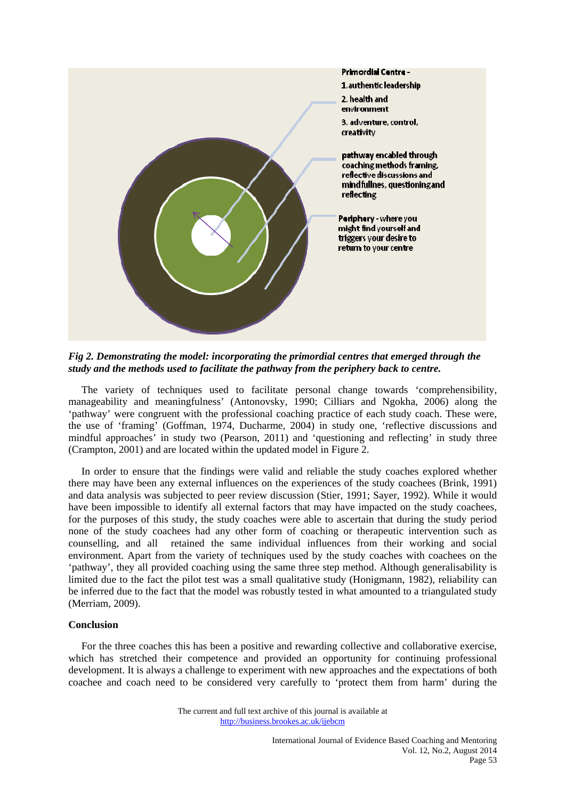

*Fig 2. Demonstrating the model: incorporating the primordial centres that emerged through the study and the methods used to facilitate the pathway from the periphery back to centre.* 

 The variety of techniques used to facilitate personal change towards 'comprehensibility, manageability and meaningfulness' (Antonovsky, 1990; Cilliars and Ngokha, 2006) along the 'pathway' were congruent with the professional coaching practice of each study coach. These were, the use of 'framing' (Goffman, 1974, Ducharme, 2004) in study one, 'reflective discussions and mindful approaches' in study two (Pearson, 2011) and 'questioning and reflecting' in study three (Crampton, 2001) and are located within the updated model in Figure 2.

 In order to ensure that the findings were valid and reliable the study coaches explored whether there may have been any external influences on the experiences of the study coachees (Brink, 1991) and data analysis was subjected to peer review discussion (Stier, 1991; Sayer, 1992). While it would have been impossible to identify all external factors that may have impacted on the study coachees, for the purposes of this study, the study coaches were able to ascertain that during the study period none of the study coachees had any other form of coaching or therapeutic intervention such as counselling, and all retained the same individual influences from their working and social environment. Apart from the variety of techniques used by the study coaches with coachees on the 'pathway', they all provided coaching using the same three step method. Although generalisability is limited due to the fact the pilot test was a small qualitative study (Honigmann, 1982), reliability can be inferred due to the fact that the model was robustly tested in what amounted to a triangulated study (Merriam, 2009).

# **Conclusion**

 For the three coaches this has been a positive and rewarding collective and collaborative exercise, which has stretched their competence and provided an opportunity for continuing professional development. It is always a challenge to experiment with new approaches and the expectations of both coachee and coach need to be considered very carefully to 'protect them from harm' during the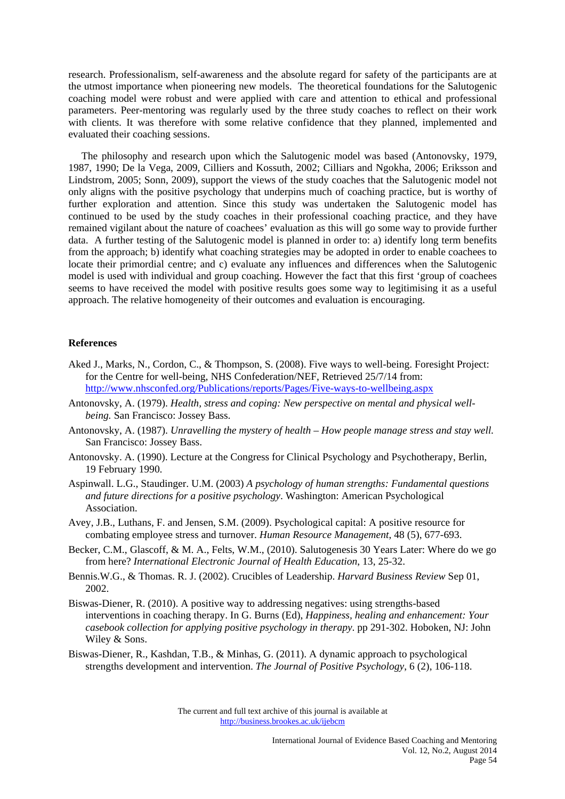research. Professionalism, self-awareness and the absolute regard for safety of the participants are at the utmost importance when pioneering new models. The theoretical foundations for the Salutogenic coaching model were robust and were applied with care and attention to ethical and professional parameters. Peer-mentoring was regularly used by the three study coaches to reflect on their work with clients. It was therefore with some relative confidence that they planned, implemented and evaluated their coaching sessions.

 The philosophy and research upon which the Salutogenic model was based (Antonovsky, 1979, 1987, 1990; De la Vega, 2009, Cilliers and Kossuth, 2002; Cilliars and Ngokha, 2006; Eriksson and Lindstrom, 2005; Sonn, 2009), support the views of the study coaches that the Salutogenic model not only aligns with the positive psychology that underpins much of coaching practice, but is worthy of further exploration and attention. Since this study was undertaken the Salutogenic model has continued to be used by the study coaches in their professional coaching practice, and they have remained vigilant about the nature of coachees' evaluation as this will go some way to provide further data. A further testing of the Salutogenic model is planned in order to: a) identify long term benefits from the approach; b) identify what coaching strategies may be adopted in order to enable coachees to locate their primordial centre; and c) evaluate any influences and differences when the Salutogenic model is used with individual and group coaching. However the fact that this first 'group of coachees seems to have received the model with positive results goes some way to legitimising it as a useful approach. The relative homogeneity of their outcomes and evaluation is encouraging.

## **References**

- Aked J., Marks, N., Cordon, C., & Thompson, S. (2008). Five ways to well-being. Foresight Project: for the Centre for well-being, NHS Confederation/NEF, Retrieved 25/7/14 from: http://www.nhsconfed.org/Publications/reports/Pages/Five-ways-to-wellbeing.aspx
- Antonovsky, A. (1979). *Health, stress and coping: New perspective on mental and physical wellbeing.* San Francisco: Jossey Bass.
- Antonovsky, A. (1987). *Unravelling the mystery of health How people manage stress and stay well.* San Francisco: Jossey Bass.
- Antonovsky. A. (1990). Lecture at the Congress for Clinical Psychology and Psychotherapy, Berlin, 19 February 1990.
- Aspinwall. L.G., Staudinger. U.M. (2003) *A psychology of human strengths: Fundamental questions and future directions for a positive psychology*. Washington: American Psychological Association.
- Avey, J.B., Luthans, F. and Jensen, S.M. (2009). Psychological capital: A positive resource for combating employee stress and turnover. *Human Resource Management*, 48 (5), 677-693.
- Becker, C.M., Glascoff, & M. A., Felts, W.M., (2010). Salutogenesis 30 Years Later: Where do we go from here? *International Electronic Journal of Health Education*, 13, 25-32.
- Bennis.W.G., & Thomas. R. J. (2002). Crucibles of Leadership. *Harvard Business Review* Sep 01, 2002.
- Biswas-Diener, R. (2010). A positive way to addressing negatives: using strengths-based interventions in coaching therapy. In G. Burns (Ed), *Happiness, healing and enhancement: Your casebook collection for applying positive psychology in therapy*. pp 291-302. Hoboken, NJ: John Wiley & Sons.
- Biswas-Diener, R., Kashdan, T.B., & Minhas, G. (2011). A dynamic approach to psychological strengths development and intervention. *The Journal of Positive Psychology*, 6 (2), 106-118.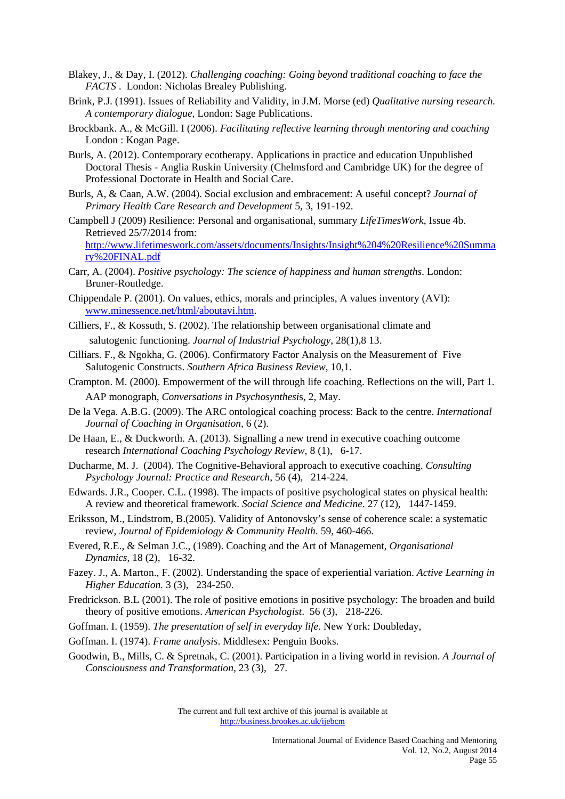- Blakey, J., & Day, I. (2012). *Challenging coaching: Going beyond traditional coaching to face the FACTS* . London: Nicholas Brealey Publishing.
- Brink, P.J. (1991). Issues of Reliability and Validity, in J.M. Morse (ed) *Qualitative nursing research. A contemporary dialogue*, London: Sage Publications.
- Brockbank. A., & McGill. I (2006). *Facilitating reflective learning through mentoring and coaching* London : Kogan Page.
- Burls, A. (2012). Contemporary ecotherapy. Applications in practice and education Unpublished Doctoral Thesis - Anglia Ruskin University (Chelmsford and Cambridge UK) for the degree of Professional Doctorate in Health and Social Care.
- Burls, A, & Caan, A.W. (2004). Social exclusion and embracement: A useful concept? *Journal of Primary Health Care Research and Development* 5, 3, 191-192.
- Campbell J (2009) Resilience: Personal and organisational, summary *LifeTimesWork*, Issue 4b. Retrieved 25/7/2014 from:

http://www.lifetimeswork.com/assets/documents/Insights/Insight%204%20Resilience%20Summa ry%20FINAL.pdf

- Carr, A. (2004). *Positive psychology: The science of happiness and human strengths*. London: Bruner-Routledge.
- Chippendale P. (2001). On values, ethics, morals and principles, A values inventory (AVI): www.minessence.net/html/aboutavi.htm.
- Cilliers, F., & Kossuth, S. (2002). The relationship between organisational climate and salutogenic functioning. *Journal of Industrial Psychology*, 28(1),8 13.
- Cilliars. F., & Ngokha, G. (2006). Confirmatory Factor Analysis on the Measurement of Five Salutogenic Constructs. *Southern Africa Business Review*, 10,1.
- Crampton. M. (2000). Empowerment of the will through life coaching. Reflections on the will, Part 1. AAP monograph, *Conversations in Psychosynthesi*s, 2, May.
- De la Vega. A.B.G. (2009). The ARC ontological coaching process: Back to the centre. *International Journal of Coaching in Organisation,* 6 (2).
- De Haan, E., & Duckworth. A. (2013). Signalling a new trend in executive coaching outcome research *International Coaching Psychology Review*, 8 (1), 6-17.
- Ducharme, M. J. (2004). The Cognitive-Behavioral approach to executive coaching. *Consulting Psychology Journal: Practice and Research*, 56 (4), 214-224.
- Edwards. J.R., Cooper. C.L. (1998). The impacts of positive psychological states on physical health: A review and theoretical framework. *Social Science and Medicine*. 27 (12), 1447-1459.

Eriksson, M., Lindstrom, B.(2005). Validity of Antonovsky's sense of coherence scale: a systematic review, *Journal of Epidemiology & Community Health*. 59, 460-466.

Evered, R.E., & Selman J.C., (1989). Coaching and the Art of Management, *Organisational Dynamics*, 18 (2), 16-32.

- Fazey. J., A. Marton., F. (2002). Understanding the space of experiential variation. *Active Learning in Higher Education.* 3 (3), 234-250.
- Fredrickson. B.L (2001). The role of positive emotions in positive psychology: The broaden and build theory of positive emotions. *American Psychologist*. 56 (3), 218-226.
- Goffman. I. (1959). *The presentation of self in everyday life*. New York: Doubleday,
- Goffman. I. (1974). *Frame analysis*. Middlesex: Penguin Books.
- Goodwin, B., Mills, C. & Spretnak, C. (2001). Participation in a living world in revision. *A Journal of Consciousness and Transformation,* 23 (3), 27.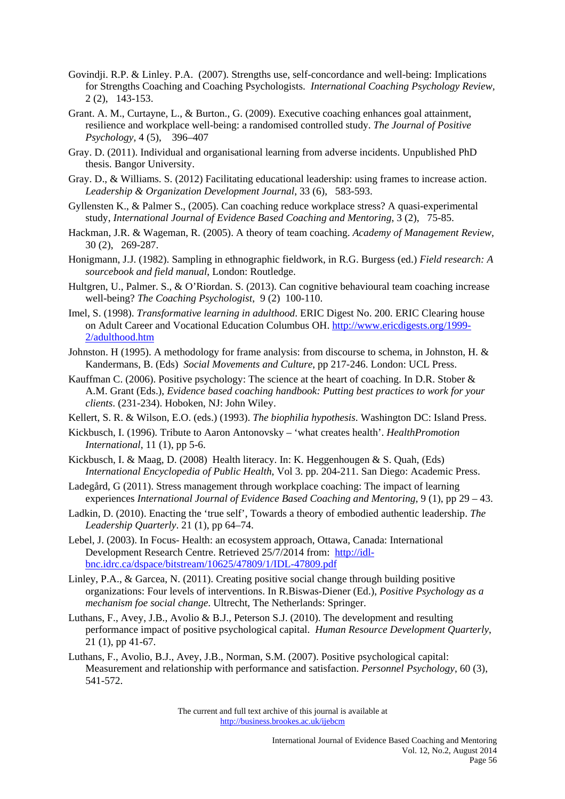- Govindji. R.P. & Linley. P.A. (2007). Strengths use, self-concordance and well-being: Implications for Strengths Coaching and Coaching Psychologists. *International Coaching Psychology Review,*  2 (2), 143-153.
- Grant. A. M., Curtayne, L., & Burton., G. (2009). Executive coaching enhances goal attainment, resilience and workplace well-being: a randomised controlled study. *The Journal of Positive Psychology,* 4 (5), 396–407
- Gray. D. (2011). Individual and organisational learning from adverse incidents. Unpublished PhD thesis. Bangor University.
- Gray. D., & Williams. S. (2012) Facilitating educational leadership: using frames to increase action. *Leadership & Organization Development Journal*, 33 (6), 583-593.
- Gyllensten K., & Palmer S., (2005). Can coaching reduce workplace stress? A quasi-experimental study, *International Journal of Evidence Based Coaching and Mentoring*, 3 (2), 75-85.
- Hackman, J.R. & Wageman, R. (2005). A theory of team coaching. *Academy of Management Review,* 30 (2), 269-287.
- Honigmann, J.J. (1982). Sampling in ethnographic fieldwork, in R.G. Burgess (ed.) *Field research: A sourcebook and field manual*, London: Routledge.
- Hultgren, U., Palmer. S., & O'Riordan. S. (2013). Can cognitive behavioural team coaching increase well-being? *The Coaching Psychologist*, 9 (2) 100-110.
- Imel, S. (1998). *Transformative learning in adulthood*. ERIC Digest No. 200. ERIC Clearing house on Adult Career and Vocational Education Columbus OH. http://www.ericdigests.org/1999- 2/adulthood.htm
- Johnston. H (1995). A methodology for frame analysis: from discourse to schema, in Johnston, H. & Kandermans, B. (Eds) *Social Movements and Culture*, pp 217-246. London: UCL Press.
- Kauffman C. (2006). Positive psychology: The science at the heart of coaching. In D.R. Stober & A.M. Grant (Eds.), *Evidence based coaching handbook: Putting best practices to work for your clients*. (231-234). Hoboken, NJ: John Wiley.
- Kellert, S. R. & Wilson, E.O. (eds.) (1993). *The biophilia hypothesis*. Washington DC: Island Press.
- Kickbusch, I. (1996). Tribute to Aaron Antonovsky 'what creates health'. *HealthPromotion International*, 11 (1), pp 5-6.
- Kickbusch, I. & Maag, D. (2008) Health literacy. In: K. Heggenhougen & S. Quah, (Eds) *International Encyclopedia of Public Health*, Vol 3. pp. 204-211. San Diego: Academic Press.
- Ladegård, G (2011). Stress management through workplace coaching: The impact of learning experiences *International Journal of Evidence Based Coaching and Mentoring,* 9 (1), pp 29 – 43.
- Ladkin, D. (2010). Enacting the 'true self', Towards a theory of embodied authentic leadership. *The Leadership Quarterly*. 21 (1), pp 64–74.
- Lebel, J. (2003). In Focus- Health: an ecosystem approach, Ottawa, Canada: International Development Research Centre. Retrieved 25/7/2014 from: http://idlbnc.idrc.ca/dspace/bitstream/10625/47809/1/IDL-47809.pdf
- Linley, P.A., & Garcea, N. (2011). Creating positive social change through building positive organizations: Four levels of interventions. In R.Biswas-Diener (Ed.), *Positive Psychology as a mechanism foe social change*. Ultrecht, The Netherlands: Springer.
- Luthans, F., Avey, J.B., Avolio & B.J., Peterson S.J. (2010). The development and resulting performance impact of positive psychological capital. *Human Resource Development Quarterly*, 21 (1), pp 41-67.
- Luthans, F., Avolio, B.J., Avey, J.B., Norman, S.M. (2007). Positive psychological capital: Measurement and relationship with performance and satisfaction. *Personnel Psychology*, 60 (3), 541-572.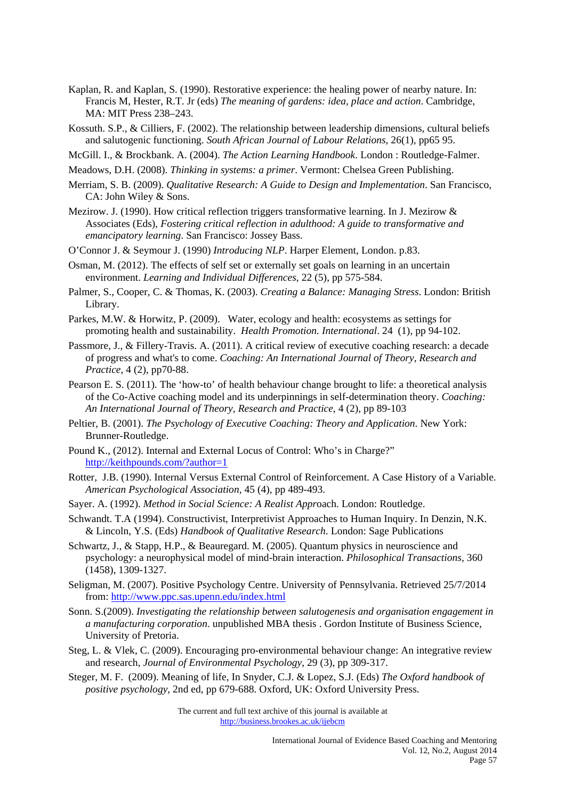- Kaplan, R. and Kaplan, S. (1990). Restorative experience: the healing power of nearby nature. In: Francis M, Hester, R.T. Jr (eds) *The meaning of gardens: idea, place and action*. Cambridge, MA: MIT Press 238–243.
- Kossuth. S.P., & Cilliers, F. (2002). The relationship between leadership dimensions, cultural beliefs and salutogenic functioning. *South African Journal of Labour Relations*, 26(1), pp65 95.
- McGill. I., & Brockbank. A. (2004). *The Action Learning Handbook*. London : Routledge-Falmer.
- Meadows, D.H. (2008). *Thinking in systems: a primer*. Vermont: Chelsea Green Publishing.
- Merriam, S. B. (2009). *Qualitative Research: A Guide to Design and Implementation*. San Francisco, CA: John Wiley & Sons.
- Mezirow. J. (1990). How critical reflection triggers transformative learning. In J. Mezirow & Associates (Eds), *Fostering critical reflection in adulthood: A guide to transformative and emancipatory learning*. San Francisco: Jossey Bass.
- O'Connor J. & Seymour J. (1990) *Introducing NLP*. Harper Element, London. p.83.
- Osman, M. (2012). The effects of self set or externally set goals on learning in an uncertain environment. *Learning and Individual Differences*, 22 (5), pp 575-584.
- Palmer, S., Cooper, C. & Thomas, K. (2003). *Creating a Balance: Managing Stress*. London: British Library.
- Parkes, M.W. & Horwitz, P. (2009). Water, ecology and health: ecosystems as settings for promoting health and sustainability. *Health Promotion. International*. 24 (1), pp 94-102.
- Passmore, J., & Fillery-Travis. A. (2011). A critical review of executive coaching research: a decade of progress and what's to come. *Coaching: An International Journal of Theory, Research and Practice*, 4 (2), pp70-88.
- Pearson E. S. (2011). The 'how-to' of health behaviour change brought to life: a theoretical analysis of the Co-Active coaching model and its underpinnings in self-determination theory. *Coaching: An International Journal of Theory, Research and Practice*, 4 (2), pp 89-103
- Peltier, B. (2001). *The Psychology of Executive Coaching: Theory and Application*. New York: Brunner-Routledge.
- Pound K., (2012). Internal and External Locus of Control: Who's in Charge?" http://keithpounds.com/?author=1
- Rotter, J.B. (1990). Internal Versus External Control of Reinforcement. A Case History of a Variable. *American Psychological Association*, 45 (4), pp 489-493.
- Sayer. A. (1992). *Method in Social Science: A Realist Appr*oach. London: Routledge.
- Schwandt. T.A (1994). Constructivist, Interpretivist Approaches to Human Inquiry. In Denzin, N.K. & Lincoln, Y.S. (Eds) *Handbook of Qualitative Research*. London: Sage Publications
- Schwartz, J., & Stapp, H.P., & Beauregard. M. (2005). Quantum physics in neuroscience and psychology: a neurophysical model of mind-brain interaction. *Philosophical Transactions,* 360 (1458), 1309-1327.
- Seligman, M. (2007). Positive Psychology Centre. University of Pennsylvania. Retrieved 25/7/2014 from: http://www.ppc.sas.upenn.edu/index.html
- Sonn. S.(2009). *Investigating the relationship between salutogenesis and organisation engagement in a manufacturing corporation*. unpublished MBA thesis . Gordon Institute of Business Science, University of Pretoria.
- Steg, L. & Vlek, C. (2009). Encouraging pro-environmental behaviour change: An integrative review and research, *Journal of Environmental Psychology*, 29 (3), pp 309-317.
- Steger, M. F. (2009). Meaning of life, In Snyder, C.J. & Lopez, S.J. (Eds) *The Oxford handbook of positive psychology*, 2nd ed, pp 679-688. Oxford, UK: Oxford University Press.